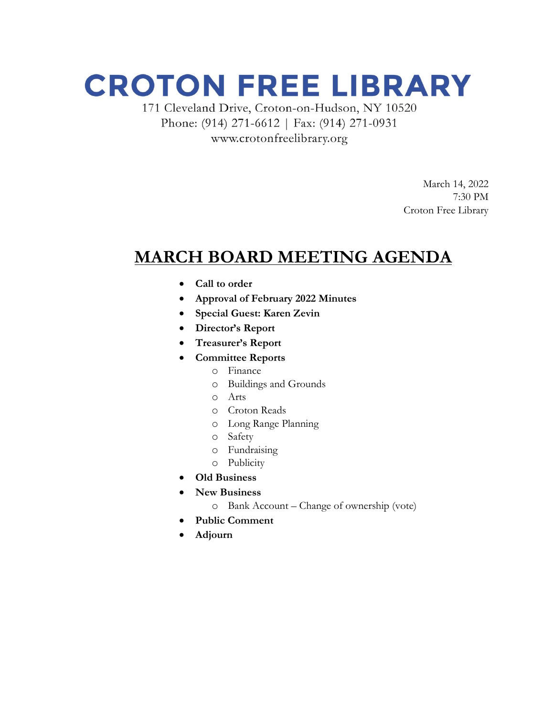## **CROTON FREE LIBRARY**

171 Cleveland Drive, Croton-on-Hudson, NY 10520 Phone: (914) 271-6612 | Fax: (914) 271-0931 www.crotonfreelibrary.org

> March 14, 2022 7:30 PM Croton Free Library

### **MARCH BOARD MEETING AGENDA**

- **Call to order**
- **Approval of February 2022 Minutes**
- **Special Guest: Karen Zevin**
- **Director's Report**
- **Treasurer's Report**
- **Committee Reports**
	- o Finance
	- o Buildings and Grounds
	- o Arts
	- o Croton Reads
	- o Long Range Planning
	- o Safety
	- o Fundraising
	- o Publicity
- **Old Business**
- **New Business**
	- o Bank Account Change of ownership (vote)
- **Public Comment**
- **Adjourn**